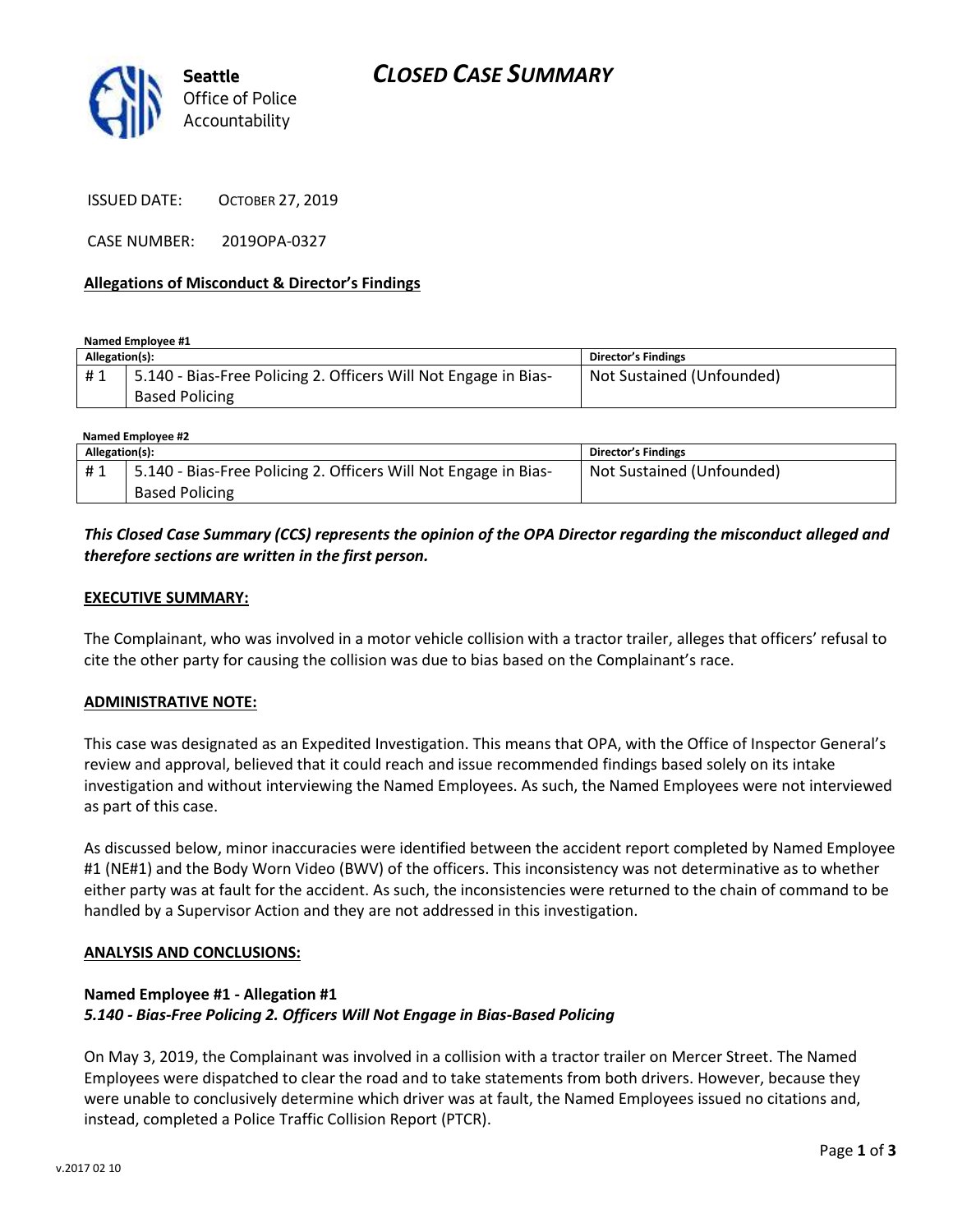

ISSUED DATE: OCTOBER 27, 2019

CASE NUMBER: 2019OPA-0327

#### **Allegations of Misconduct & Director's Findings**

**Named Employee #1**

| 15.140 - Bias-Free Policing 2. Officers Will Not Engage in Bias-<br>#1<br><b>Based Policing</b> | Not Sustained (Unfounded) |
|-------------------------------------------------------------------------------------------------|---------------------------|

| Named Employee #2 |                                                                 |                           |  |
|-------------------|-----------------------------------------------------------------|---------------------------|--|
| Allegation(s):    |                                                                 | Director's Findings       |  |
| #1                | 5.140 - Bias-Free Policing 2. Officers Will Not Engage in Bias- | Not Sustained (Unfounded) |  |
|                   | <b>Based Policing</b>                                           |                           |  |

### *This Closed Case Summary (CCS) represents the opinion of the OPA Director regarding the misconduct alleged and therefore sections are written in the first person.*

#### **EXECUTIVE SUMMARY:**

The Complainant, who was involved in a motor vehicle collision with a tractor trailer, alleges that officers' refusal to cite the other party for causing the collision was due to bias based on the Complainant's race.

#### **ADMINISTRATIVE NOTE:**

This case was designated as an Expedited Investigation. This means that OPA, with the Office of Inspector General's review and approval, believed that it could reach and issue recommended findings based solely on its intake investigation and without interviewing the Named Employees. As such, the Named Employees were not interviewed as part of this case.

As discussed below, minor inaccuracies were identified between the accident report completed by Named Employee #1 (NE#1) and the Body Worn Video (BWV) of the officers. This inconsistency was not determinative as to whether either party was at fault for the accident. As such, the inconsistencies were returned to the chain of command to be handled by a Supervisor Action and they are not addressed in this investigation.

#### **ANALYSIS AND CONCLUSIONS:**

### **Named Employee #1 - Allegation #1** *5.140 - Bias-Free Policing 2. Officers Will Not Engage in Bias-Based Policing*

On May 3, 2019, the Complainant was involved in a collision with a tractor trailer on Mercer Street. The Named Employees were dispatched to clear the road and to take statements from both drivers. However, because they were unable to conclusively determine which driver was at fault, the Named Employees issued no citations and, instead, completed a Police Traffic Collision Report (PTCR).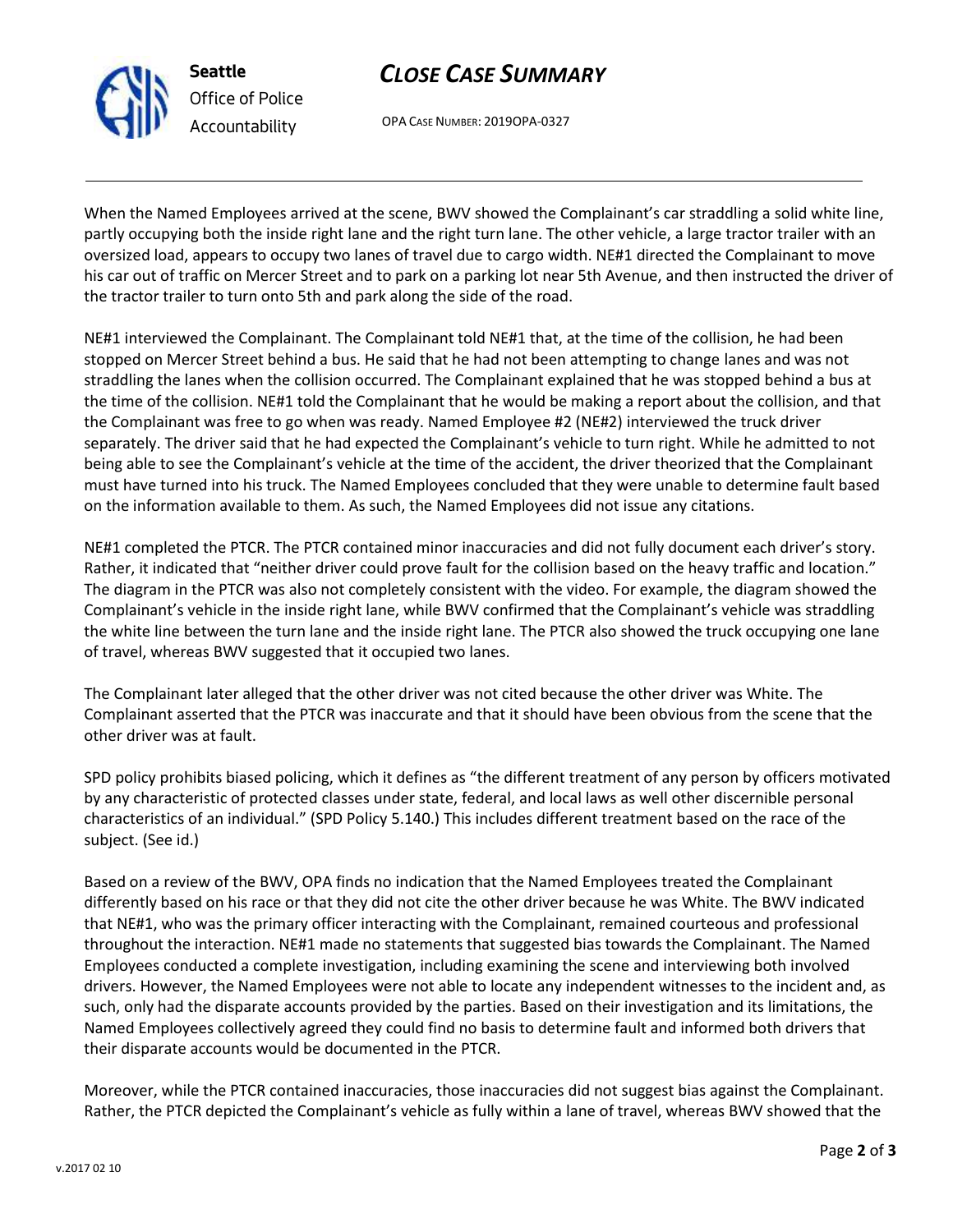

## **Seattle** *Office of Police Accountability*

# *CLOSE CASE SUMMARY*

OPA CASE NUMBER: 2019OPA-0327

When the Named Employees arrived at the scene, BWV showed the Complainant's car straddling a solid white line, partly occupying both the inside right lane and the right turn lane. The other vehicle, a large tractor trailer with an oversized load, appears to occupy two lanes of travel due to cargo width. NE#1 directed the Complainant to move his car out of traffic on Mercer Street and to park on a parking lot near 5th Avenue, and then instructed the driver of the tractor trailer to turn onto 5th and park along the side of the road.

NE#1 interviewed the Complainant. The Complainant told NE#1 that, at the time of the collision, he had been stopped on Mercer Street behind a bus. He said that he had not been attempting to change lanes and was not straddling the lanes when the collision occurred. The Complainant explained that he was stopped behind a bus at the time of the collision. NE#1 told the Complainant that he would be making a report about the collision, and that the Complainant was free to go when was ready. Named Employee #2 (NE#2) interviewed the truck driver separately. The driver said that he had expected the Complainant's vehicle to turn right. While he admitted to not being able to see the Complainant's vehicle at the time of the accident, the driver theorized that the Complainant must have turned into his truck. The Named Employees concluded that they were unable to determine fault based on the information available to them. As such, the Named Employees did not issue any citations.

NE#1 completed the PTCR. The PTCR contained minor inaccuracies and did not fully document each driver's story. Rather, it indicated that "neither driver could prove fault for the collision based on the heavy traffic and location." The diagram in the PTCR was also not completely consistent with the video. For example, the diagram showed the Complainant's vehicle in the inside right lane, while BWV confirmed that the Complainant's vehicle was straddling the white line between the turn lane and the inside right lane. The PTCR also showed the truck occupying one lane of travel, whereas BWV suggested that it occupied two lanes.

The Complainant later alleged that the other driver was not cited because the other driver was White. The Complainant asserted that the PTCR was inaccurate and that it should have been obvious from the scene that the other driver was at fault.

SPD policy prohibits biased policing, which it defines as "the different treatment of any person by officers motivated by any characteristic of protected classes under state, federal, and local laws as well other discernible personal characteristics of an individual." (SPD Policy 5.140.) This includes different treatment based on the race of the subject. (See id.)

Based on a review of the BWV, OPA finds no indication that the Named Employees treated the Complainant differently based on his race or that they did not cite the other driver because he was White. The BWV indicated that NE#1, who was the primary officer interacting with the Complainant, remained courteous and professional throughout the interaction. NE#1 made no statements that suggested bias towards the Complainant. The Named Employees conducted a complete investigation, including examining the scene and interviewing both involved drivers. However, the Named Employees were not able to locate any independent witnesses to the incident and, as such, only had the disparate accounts provided by the parties. Based on their investigation and its limitations, the Named Employees collectively agreed they could find no basis to determine fault and informed both drivers that their disparate accounts would be documented in the PTCR.

Moreover, while the PTCR contained inaccuracies, those inaccuracies did not suggest bias against the Complainant. Rather, the PTCR depicted the Complainant's vehicle as fully within a lane of travel, whereas BWV showed that the